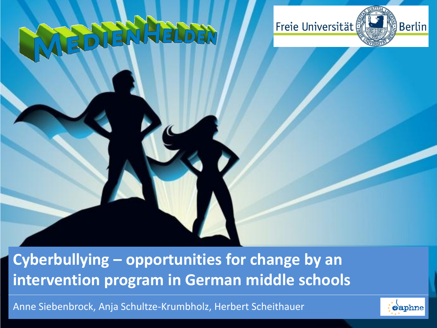# F



#### **Cyberbullying – opportunities for change by an intervention program in German middle schools**

Anne Siebenbrock, Anja Schultze-Krumbholz, Herbert Scheithauer

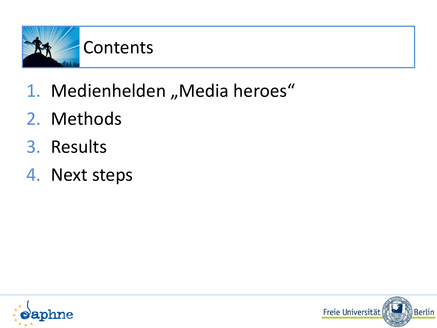

- 1. Medienhelden "Media heroes"
- 2. Methods
- 3. Results
- 4. Next steps



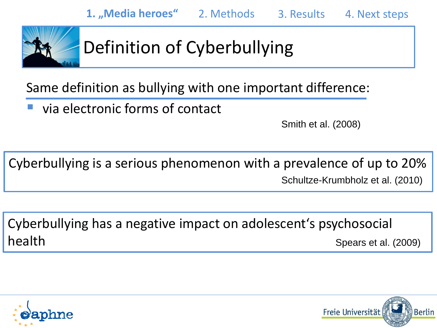

# Definition of Cyberbullying

Same definition as bullying with one important difference:

via electronic forms of contact

Smith et al. (2008)

Cyberbullying is a serious phenomenon with a prevalence of up to 20% Schultze-Krumbholz et al. (2010)

Spears et al. (2009) Cyberbullying has a negative impact on adolescent's psychosocial health



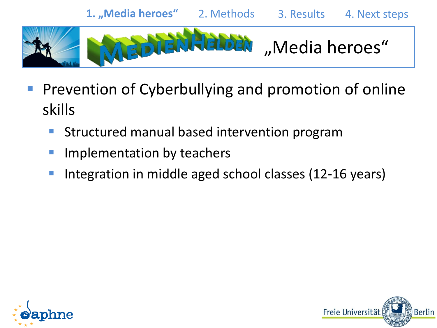

- Prevention of Cyberbullying and promotion of online skills
	- **Structured manual based intervention program**
	- Implementation by teachers
	- **Integration in middle aged school classes (12-16 years)**



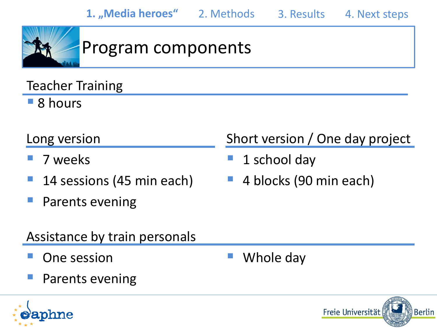

## Program components

Teacher Training

■ 8 hours

#### Long version

- 7 weeks
- 14 sessions (45 min each)
- Parents evening

#### Assistance by train personals

- One session
- Parents evening



- 1 school day
- 4 blocks (90 min each)

Whole day



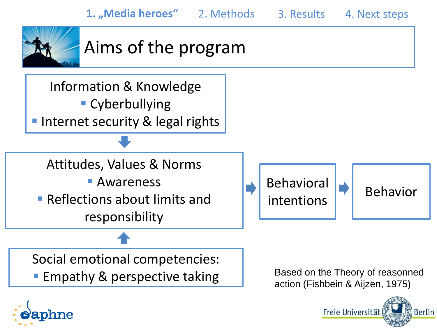

## Aims of the program



Social emotional competencies:

**Empathy & perspective taking** 

Based on the Theory of reasonned action (Fishbein & Aijzen, 1975)

Freie Universität

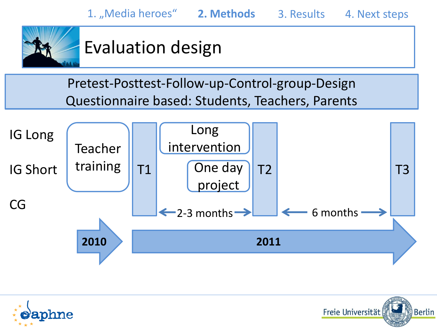

## Evaluation design

Pretest-Posttest-Follow-up-Control-group-Design Questionnaire based: Students, Teachers, Parents





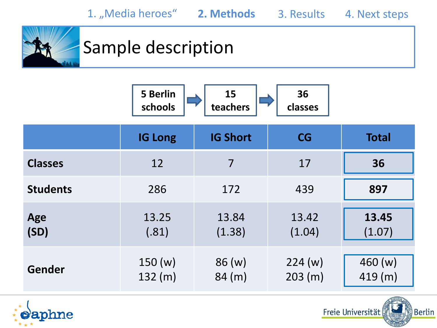

## Sample description

|                 | <b>5 Berlin</b><br>schools | 15<br>teachers  | 36<br>classes     |                   |
|-----------------|----------------------------|-----------------|-------------------|-------------------|
|                 | <b>IG Long</b>             | <b>IG Short</b> | CG                | <b>Total</b>      |
| <b>Classes</b>  | 12                         | 7               | 17                | 36                |
| <b>Students</b> | 286                        | 172             | 439               | 897               |
| Age<br>(SD)     | 13.25<br>(.81)             | 13.84<br>(1.38) | 13.42<br>(1.04)   | 13.45<br>(1.07)   |
| Gender          | 150(w)<br>132 (m)          | 86(w)<br>84(m)  | 224(w)<br>203 (m) | 460(w)<br>419 (m) |

Freie Universität

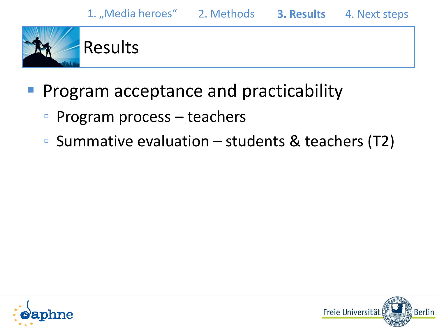

Results

#### Program acceptance and practicability

- Program process teachers
- Summative evaluation  $-$  students & teachers (T2)



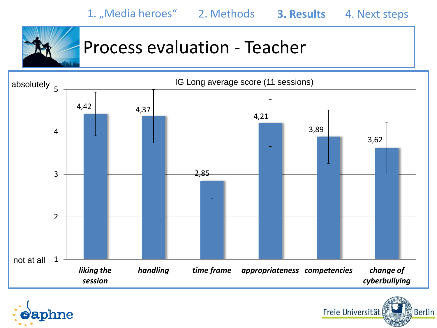

#### Process evaluation - Teacher



Freie Universität

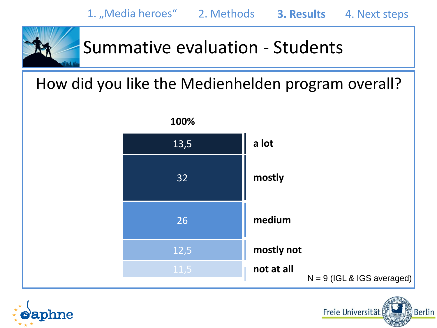

#### Summative evaluation - Students

#### How did you like the Medienhelden program overall?



Freie Universität

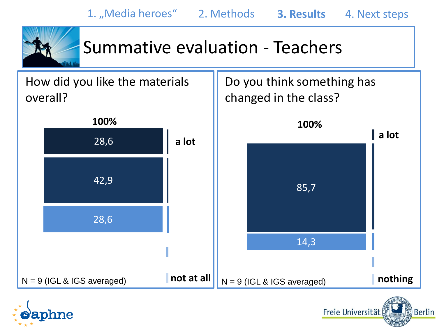

#### Summative evaluation - Teachers



Freie Universität

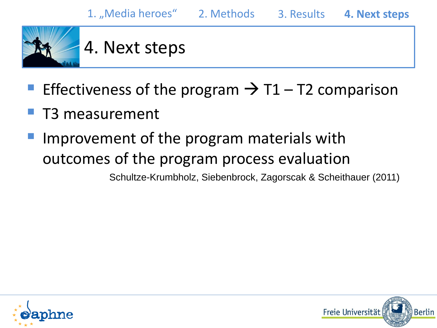

- Effectiveness of the program  $\rightarrow$  T1 T2 comparison
- T3 measurement
- Improvement of the program materials with outcomes of the program process evaluation

Schultze-Krumbholz, Siebenbrock, Zagorscak & Scheithauer (2011)



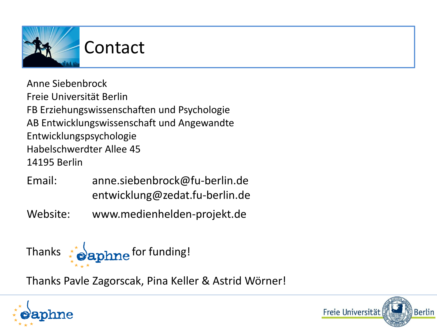

Anne Siebenbrock Freie Universität Berlin FB Erziehungswissenschaften und Psychologie AB Entwicklungswissenschaft und Angewandte Entwicklungspsychologie Habelschwerdter Allee 45 14195 Berlin

- Email: anne.siebenbrock@fu-berlin.de entwicklung@zedat.fu-berlin.de
- Website: www.medienhelden-projekt.de



Thanks Pavle Zagorscak, Pina Keller & Astrid Wörner!



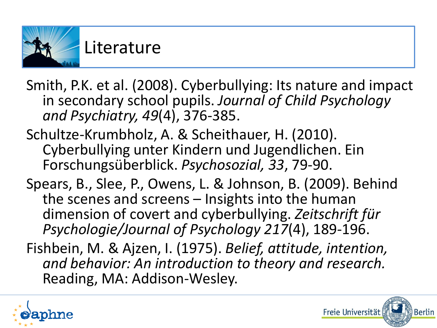

- Smith, P.K. et al. (2008). Cyberbullying: Its nature and impact in secondary school pupils. *Journal of Child Psychology and Psychiatry, 49*(4), 376-385.
- Schultze-Krumbholz, A. & Scheithauer, H. (2010). Cyberbullying unter Kindern und Jugendlichen. Ein Forschungsüberblick. *Psychosozial, 33*, 79-90.
- Spears, B., Slee, P., Owens, L. & Johnson, B. (2009). Behind the scenes and screens – Insights into the human dimension of covert and cyberbullying. *Zeitschrift für Psychologie/Journal of Psychology 217*(4), 189-196.
- Fishbein, M. & Ajzen, I. (1975). *Belief, attitude, intention, and behavior: An introduction to theory and research.*  Reading, MA: Addison-Wesley.



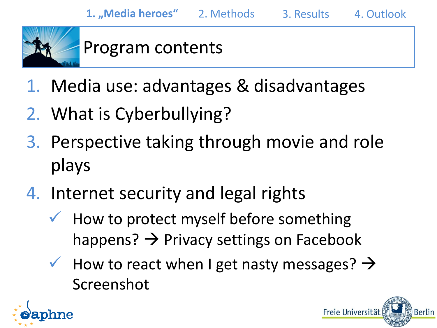

#### Program contents

- 1. Media use: advantages & disadvantages
- 2. What is Cyberbullying?
- 3. Perspective taking through movie and role plays
- 4. Internet security and legal rights
	- How to protect myself before something happens?  $\rightarrow$  Privacy settings on Facebook
	- $\checkmark$  How to react when I get nasty messages?  $\Rightarrow$ Screenshot